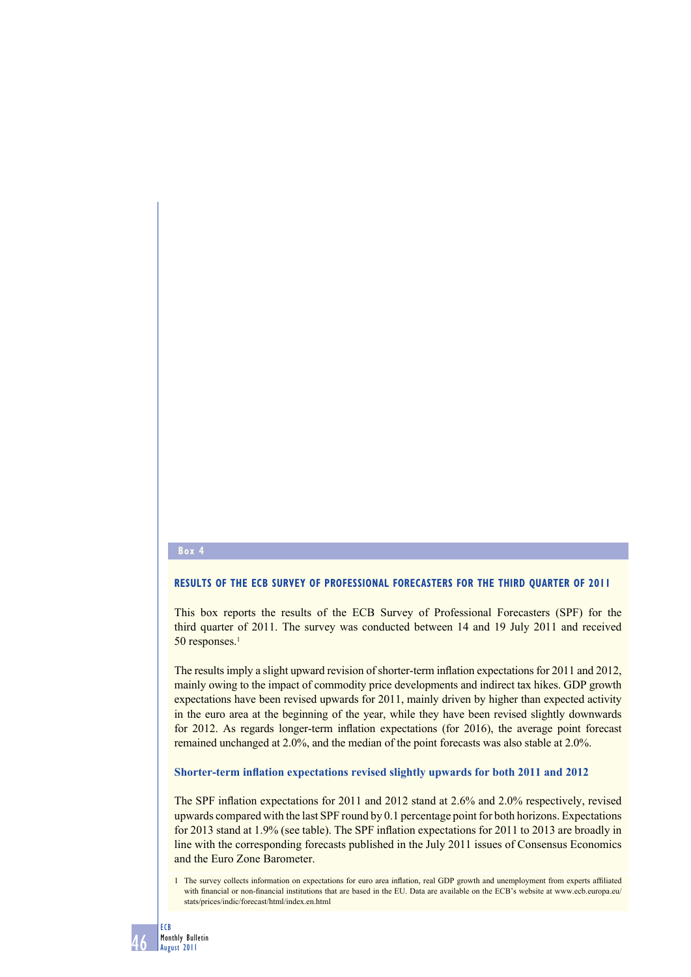## **Box 4**

# **RESULTS OF THE ECB SURVEY OF PROFESSIONAL FORECASTERS FOR THE THIRD QUARTER OF 2011**

This box reports the results of the ECB Survey of Professional Forecasters (SPF) for the third quarter of 2011. The survey was conducted between 14 and 19 July 2011 and received 50 responses.<sup>1</sup>

The results imply a slight upward revision of shorter-term inflation expectations for 2011 and 2012, mainly owing to the impact of commodity price developments and indirect tax hikes. GDP growth expectations have been revised upwards for 2011, mainly driven by higher than expected activity in the euro area at the beginning of the year, while they have been revised slightly downwards for 2012. As regards longer-term inflation expectations (for 2016), the average point forecast remained unchanged at 2.0%, and the median of the point forecasts was also stable at 2.0%.

### **Shorter-term inflation expectations revised slightly upwards for both 2011 and 2012**

The SPF inflation expectations for 2011 and 2012 stand at 2.6% and 2.0% respectively, revised upwards compared with the last SPF round by 0.1 percentage point for both horizons. Expectations for 2013 stand at 1.9% (see table). The SPF inflation expectations for 2011 to 2013 are broadly in line with the corresponding forecasts published in the July 2011 issues of Consensus Economics and the Euro Zone Barometer.

<sup>1</sup> The survey collects information on expectations for euro area inflation, real GDP growth and unemployment from experts affiliated with financial or non-financial institutions that are based in the EU. Data are available on the ECB's website at www.ecb.europa.eu/ stats/prices/indic/forecast/html/index.en.html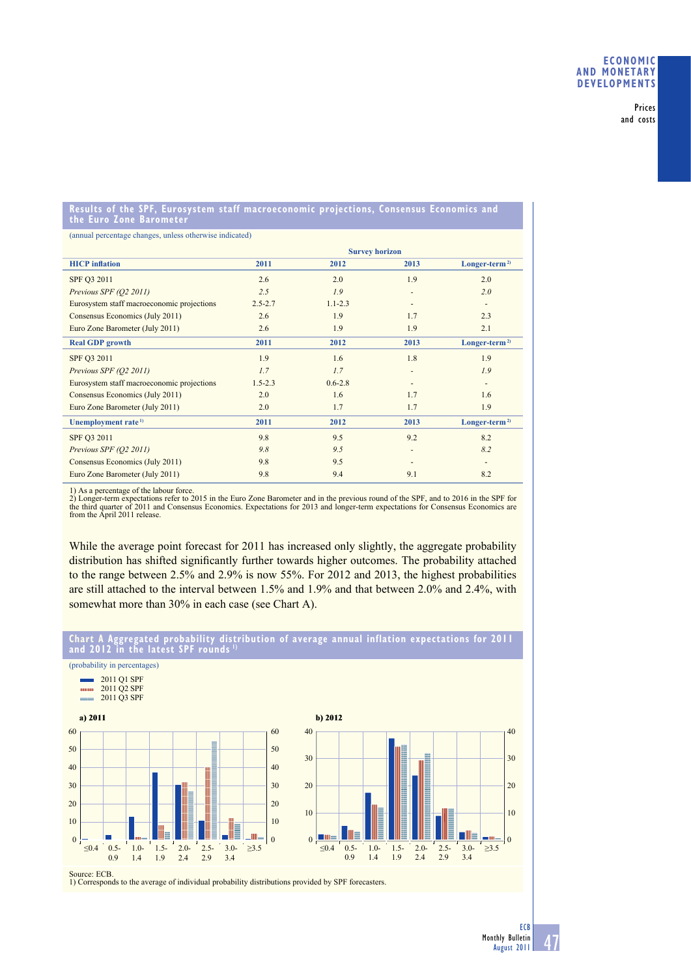Prices and costs

#### **Results of the SPF, Eurosystem staff macroeconomic projections, Consensus Economics and the Euro Zone Barometer**

(annual percentage changes, unless otherwise indicated)

|                                            | <b>Survey horizon</b> |             |                          |                           |
|--------------------------------------------|-----------------------|-------------|--------------------------|---------------------------|
| <b>HICP</b> inflation                      | 2011                  | 2012        | 2013                     | Longer-term <sup>2)</sup> |
| SPF Q3 2011                                | 2.6                   | 2.0         | 1.9                      | 2.0                       |
| Previous SPF (Q2 2011)                     | 2.5                   | 1.9         | ٠                        | 2.0                       |
| Eurosystem staff macroeconomic projections | $2.5 - 2.7$           | $1.1 - 2.3$ | $\overline{\phantom{a}}$ | $\overline{\phantom{a}}$  |
| Consensus Economics (July 2011)            | 2.6                   | 1.9         | 1.7                      | 2.3                       |
| Euro Zone Barometer (July 2011)            | 2.6                   | 1.9         | 1.9                      | 2.1                       |
| <b>Real GDP</b> growth                     | 2011                  | 2012        | 2013                     | Longer-term <sup>2)</sup> |
| SPF Q3 2011                                | 1.9                   | 1.6         | 1.8                      | 1.9                       |
| Previous SPF (Q2 2011)                     | 1.7                   | 1.7         | ٠                        | 1.9                       |
| Eurosystem staff macroeconomic projections | $1.5 - 2.3$           | $0.6 - 2.8$ | -                        | ٠                         |
| Consensus Economics (July 2011)            | 2.0                   | 1.6         | 1.7                      | 1.6                       |
| Euro Zone Barometer (July 2011)            | 2.0                   | 1.7         | 1.7                      | 1.9                       |
| Unemployment rate <sup>1)</sup>            | 2011                  | 2012        | 2013                     | Longer-term <sup>2)</sup> |
| SPF Q3 2011                                | 9.8                   | 9.5         | 9.2                      | 8.2                       |
| Previous SPF (Q2 2011)                     | 9.8                   | 9.5         | ٠                        | 8.2                       |
| Consensus Economics (July 2011)            | 9.8                   | 9.5         | ٠                        | ٠                         |
| Euro Zone Barometer (July 2011)            | 9.8                   | 9.4         | 9.1                      | 8.2                       |

(probability in percentages)

1) As a percentage of the labour force. 2) Longer-term expectations refer to 2015 in the Euro Zone Barometer and in the previous round of the SPF, and to 2016 in the SPF for the third quarter of 2011 and Consensus Economics. Expectations for 2013 and longer-term expectations for Consensus Economics are from the April 2011 release.

While the average point forecast for 2011 has increased only slightly, the aggregate probability distribution has shifted significantly further towards higher outcomes. The probability attached to the range between 2.5% and 2.9% is now 55%. For 2012 and 2013, the highest probabilities are still attached to the interval between 1.5% and 1.9% and that between 2.0% and 2.4%, with somewhat more than 30% in each case (see Chart A).



**Chart A Aggregated probability distribution of average annual inflation expectations for 2011 and 2012 in the latest SPF rounds 1)**

Source: ECB. 1) Corresponds to the average of individual probability distributions provided by SPF forecasters.

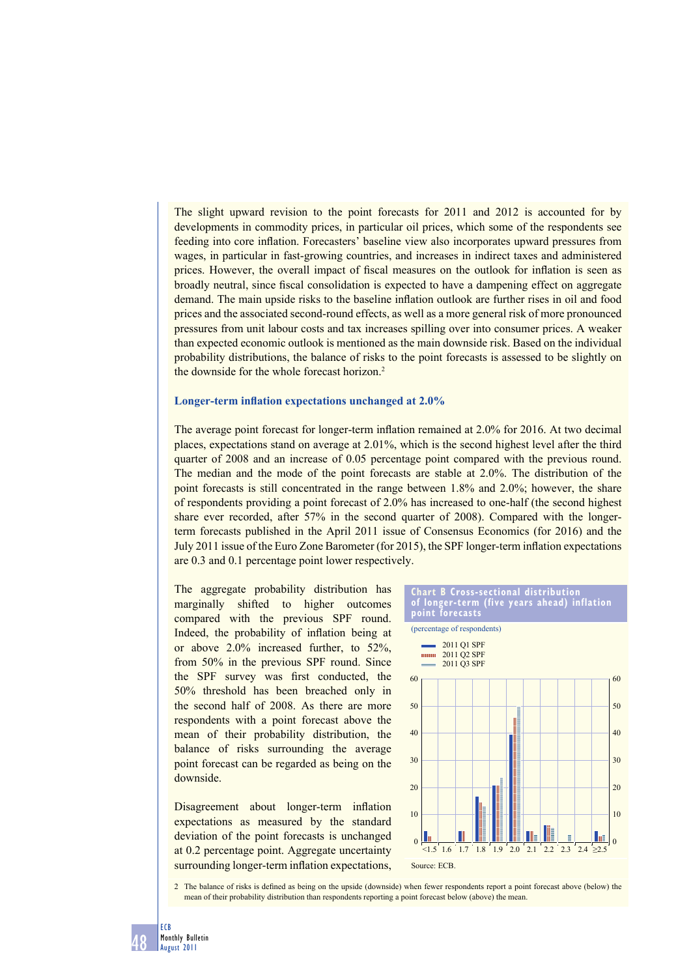The slight upward revision to the point forecasts for 2011 and 2012 is accounted for by developments in commodity prices, in particular oil prices, which some of the respondents see feeding into core inflation. Forecasters' baseline view also incorporates upward pressures from wages, in particular in fast-growing countries, and increases in indirect taxes and administered prices. However, the overall impact of fiscal measures on the outlook for inflation is seen as broadly neutral, since fiscal consolidation is expected to have a dampening effect on aggregate demand. The main upside risks to the baseline inflation outlook are further rises in oil and food prices and the associated second-round effects, as well as a more general risk of more pronounced pressures from unit labour costs and tax increases spilling over into consumer prices. A weaker than expected economic outlook is mentioned as the main downside risk. Based on the individual probability distributions, the balance of risks to the point forecasts is assessed to be slightly on the downside for the whole forecast horizon.<sup>2</sup>

#### **Longer-term inflation expectations unchanged at 2.0%**

The average point forecast for longer-term inflation remained at 2.0% for 2016. At two decimal places, expectations stand on average at 2.01%, which is the second highest level after the third quarter of 2008 and an increase of 0.05 percentage point compared with the previous round. The median and the mode of the point forecasts are stable at 2.0%. The distribution of the point forecasts is still concentrated in the range between 1.8% and 2.0%; however, the share of respondents providing a point forecast of 2.0% has increased to one-half (the second highest share ever recorded, after 57% in the second quarter of 2008). Compared with the longerterm forecasts published in the April 2011 issue of Consensus Economics (for 2016) and the July 2011 issue of the Euro Zone Barometer (for 2015), the SPF longer-term inflation expectations are 0.3 and 0.1 percentage point lower respectively.

The aggregate probability distribution has marginally shifted to higher outcomes compared with the previous SPF round. Indeed, the probability of inflation being at or above 2.0% increased further, to 52%, from 50% in the previous SPF round. Since the SPF survey was first conducted, the 50% threshold has been breached only in the second half of 2008. As there are more respondents with a point forecast above the mean of their probability distribution, the balance of risks surrounding the average point forecast can be regarded as being on the downside.

Disagreement about longer-term inflation expectations as measured by the standard deviation of the point forecasts is unchanged at 0.2 percentage point. Aggregate uncertainty surrounding longer-term inflation expectations,



2 The balance of risks is defined as being on the upside (downside) when fewer respondents report a point forecast above (below) the mean of their probability distribution than respondents reporting a point forecast below (above) the mean.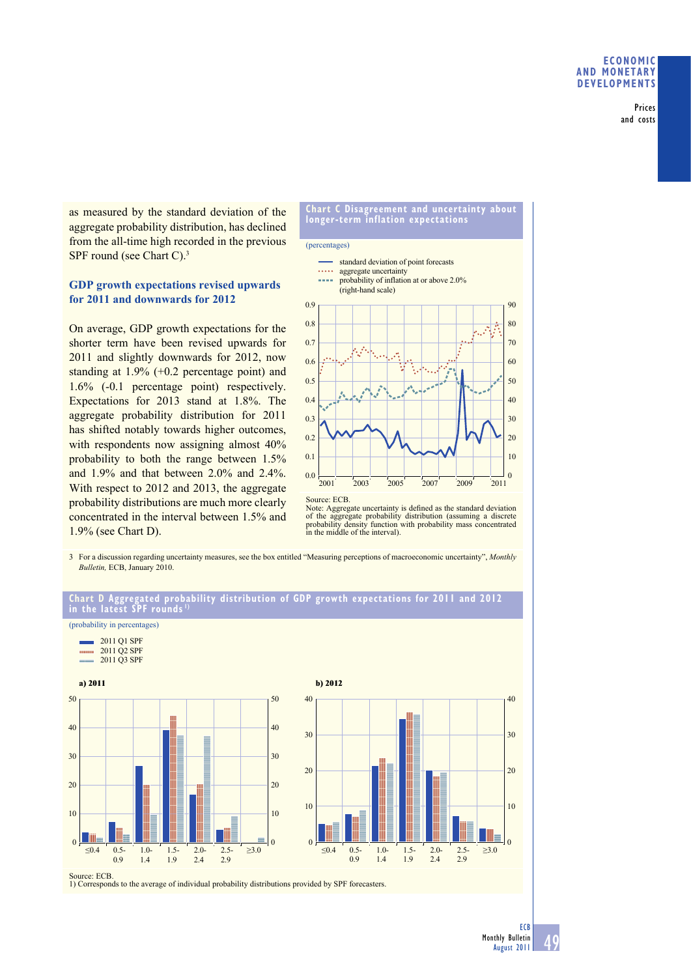Prices and costs

as measured by the standard deviation of the aggregate probability distribution, has declined from the all-time high recorded in the previous SPF round (see Chart C).<sup>3</sup>

## **GDP growth expectations revised upwards for 2011 and downwards for 2012**

On average, GDP growth expectations for the shorter term have been revised upwards for 2011 and slightly downwards for 2012, now standing at 1.9% (+0.2 percentage point) and 1.6% (-0.1 percentage point) respectively. Expectations for 2013 stand at 1.8%. The aggregate probability distribution for 2011 has shifted notably towards higher outcomes, with respondents now assigning almost  $40\%$ probability to both the range between 1.5% and 1.9% and that between 2.0% and 2.4%. With respect to 2012 and 2013, the aggregate probability distributions are much more clearly concentrated in the interval between 1.5% and 1.9% (see Chart D).





Note: Aggregate uncertainty is defined as the standard deviation of the aggregate probability distribution (assuming a discrete probability density function with probability mass concentrated in the middle of the interval).

3 For a discussion regarding uncertainty measures, see the box entitled "Measuring perceptions of macroeconomic uncertainty", *Monthly Bulletin,* ECB, January 2010.



1) Corresponds to the average of individual probability distributions provided by SPF forecasters.